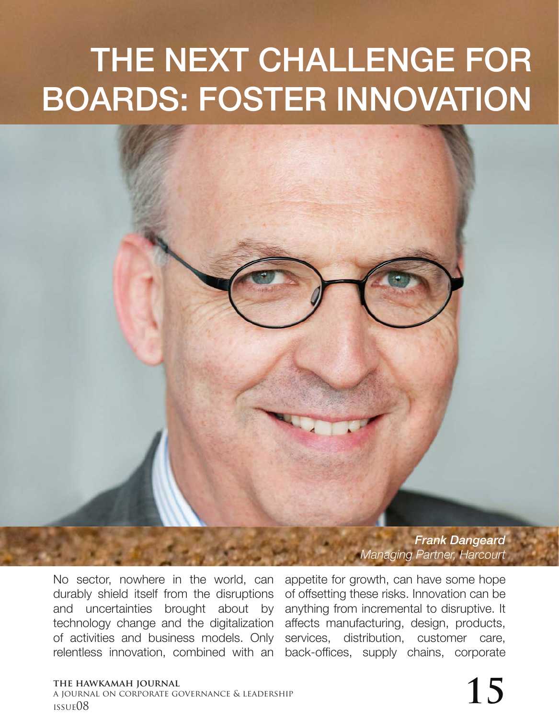## THE NEXT CHALLENGE FOR BOARDS: FOSTER INNOVATION

*Frank Dangeard Managing Partner, Harcourt* 

No sector, nowhere in the world, can durably shield itself from the disruptions and uncertainties brought about by technology change and the digitalization of activities and business models. Only relentless innovation, combined with an

appetite for growth, can have some hope of offsetting these risks. Innovation can be anything from incremental to disruptive. It affects manufacturing, design, products, services, distribution, customer care. back-offices, supply chains, corporate

## **the hawkamah journal** a journal on corporate governance & leadership the hawkamah journal<br>a journal on corporate governance & leadership<br>issue08 **15**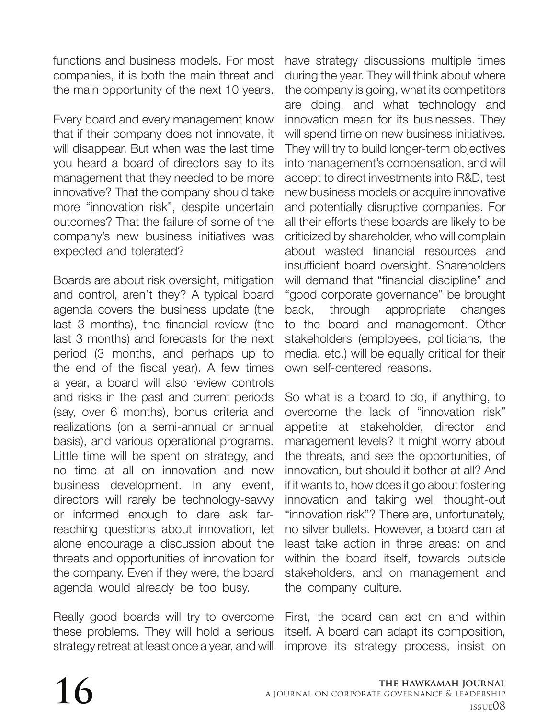functions and business models. For most companies, it is both the main threat and the main opportunity of the next 10 years.

Every board and every management know that if their company does not innovate, it will disappear. But when was the last time you heard a board of directors say to its management that they needed to be more innovative? That the company should take more "innovation risk", despite uncertain outcomes? That the failure of some of the company's new business initiatives was expected and tolerated?

Boards are about risk oversight, mitigation and control, aren't they? A typical board agenda covers the business update (the last 3 months), the financial review (the last 3 months) and forecasts for the next period (3 months, and perhaps up to the end of the fiscal year). A few times a year, a board will also review controls and risks in the past and current periods (say, over 6 months), bonus criteria and realizations (on a semi-annual or annual basis), and various operational programs. Little time will be spent on strategy, and no time at all on innovation and new business development. In any event, directors will rarely be technology-savvy or informed enough to dare ask farreaching questions about innovation, let alone encourage a discussion about the threats and opportunities of innovation for the company. Even if they were, the board agenda would already be too busy.

Really good boards will try to overcome these problems. They will hold a serious strategy retreat at least once a year, and will

have strategy discussions multiple times during the year. They will think about where the company is going, what its competitors are doing, and what technology and innovation mean for its businesses. They will spend time on new business initiatives. They will try to build longer-term objectives into management's compensation, and will accept to direct investments into R&D, test new business models or acquire innovative and potentially disruptive companies. For all their efforts these boards are likely to be criticized by shareholder, who will complain about wasted financial resources and insufficient board oversight. Shareholders will demand that "financial discipline" and "good corporate governance" be brought back, through appropriate changes to the board and management. Other stakeholders (employees, politicians, the media, etc.) will be equally critical for their own self-centered reasons.

So what is a board to do, if anything, to overcome the lack of "innovation risk" appetite at stakeholder, director and management levels? It might worry about the threats, and see the opportunities, of innovation, but should it bother at all? And if it wants to, how does it go about fostering innovation and taking well thought-out "innovation risk"? There are, unfortunately, no silver bullets. However, a board can at least take action in three areas: on and within the board itself, towards outside stakeholders, and on management and the company culture.

First, the board can act on and within itself. A board can adapt its composition, improve its strategy process, insist on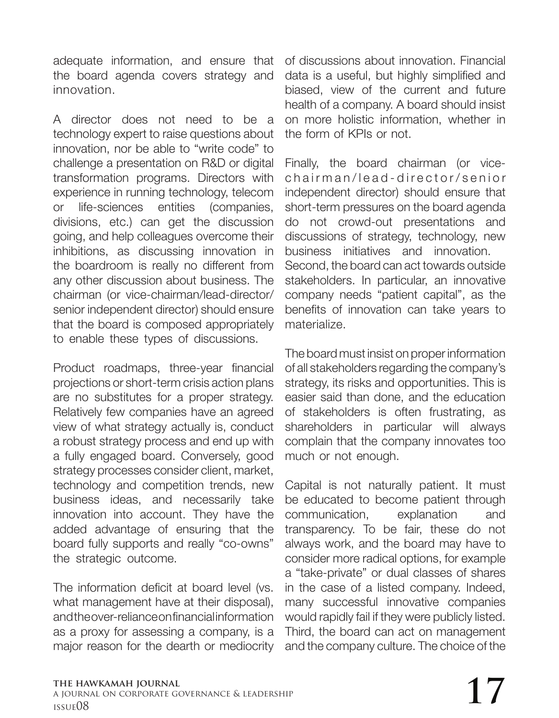adequate information, and ensure that the board agenda covers strategy and innovation.

A director does not need to be a technology expert to raise questions about innovation, nor be able to "write code" to challenge a presentation on R&D or digital transformation programs. Directors with experience in running technology, telecom or life-sciences entities (companies, divisions, etc.) can get the discussion going, and help colleagues overcome their inhibitions, as discussing innovation in the boardroom is really no different from any other discussion about business. The chairman (or vice-chairman/lead-director/ senior independent director) should ensure that the board is composed appropriately to enable these types of discussions.

Product roadmaps, three-year financial projections or short-term crisis action plans are no substitutes for a proper strategy. Relatively few companies have an agreed view of what strategy actually is, conduct a robust strategy process and end up with a fully engaged board. Conversely, good strategy processes consider client, market, technology and competition trends, new business ideas, and necessarily take innovation into account. They have the added advantage of ensuring that the board fully supports and really "co-owns" the strategic outcome.

The information deficit at board level (vs. what management have at their disposal), and the over-reliance on financial information as a proxy for assessing a company, is a major reason for the dearth or mediocrity

of discussions about innovation. Financial data is a useful, but highly simplified and biased, view of the current and future health of a company. A board should insist on more holistic information, whether in the form of KPIs or not.

Finally, the board chairman (or vicechairman/lead-director/senior independent director) should ensure that short-term pressures on the board agenda do not crowd-out presentations and discussions of strategy, technology, new business initiatives and innovation. Second, the board can act towards outside stakeholders. In particular, an innovative company needs "patient capital", as the benefits of innovation can take years to materialize.

The board must insist on proper information of all stakeholders regarding the company's strategy, its risks and opportunities. This is easier said than done, and the education of stakeholders is often frustrating, as shareholders in particular will always complain that the company innovates too much or not enough.

Capital is not naturally patient. It must be educated to become patient through communication, explanation and transparency. To be fair, these do not always work, and the board may have to consider more radical options, for example a "take-private" or dual classes of shares in the case of a listed company. Indeed, many successful innovative companies would rapidly fail if they were publicly listed. Third, the board can act on management and the company culture. The choice of the